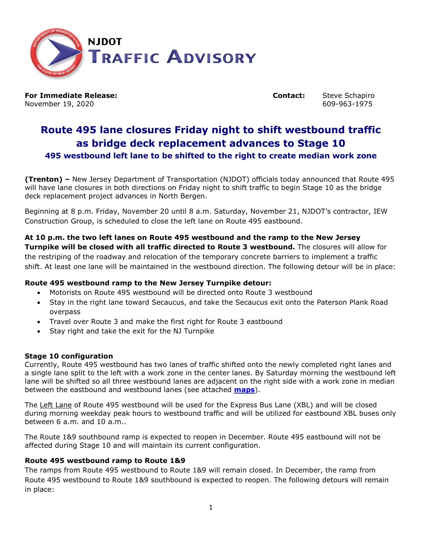

**For Immediate Release: Contact:** Steve Schapiro November 19, 2020 609-963-1975

# **Route 495 lane closures Friday night to shift westbound traffic as bridge deck replacement advances to Stage 10 495 westbound left lane to be shifted to the right to create median work zone**

**(Trenton) –** New Jersey Department of Transportation (NJDOT) officials today announced that Route 495 will have lane closures in both directions on Friday night to shift traffic to begin Stage 10 as the bridge deck replacement project advances in North Bergen.

Beginning at 8 p.m. Friday, November 20 until 8 a.m. Saturday, November 21, NJDOT's contractor, IEW Construction Group, is scheduled to close the left lane on Route 495 eastbound.

**At 10 p.m. the two left lanes on Route 495 westbound and the ramp to the New Jersey Turnpike will be closed with all traffic directed to Route 3 westbound.** The closures will allow for the restriping of the roadway and relocation of the temporary concrete barriers to implement a traffic shift. At least one lane will be maintained in the westbound direction. The following detour will be in place:

## **Route 495 westbound ramp to the New Jersey Turnpike detour:**

- Motorists on Route 495 westbound will be directed onto Route 3 westbound
- Stay in the right lane toward Secaucus, and take the Secaucus exit onto the Paterson Plank Road overpass
- Travel over Route 3 and make the first right for Route 3 eastbound
- Stay right and take the exit for the NJ Turnpike

#### **Stage 10 configuration**

Currently, Route 495 westbound has two lanes of traffic shifted onto the newly completed right lanes and a single lane split to the left with a work zone in the center lanes. By Saturday morning the westbound left lane will be shifted so all three westbound lanes are adjacent on the right side with a work zone in median between the eastbound and westbound lanes (see attached **[maps](https://www.state.nj.us/transportation/uploads/comm/news/details/comm_np_20201119_150221_Route_495_Stage_10_Graphics.pdf)**).

The Left Lane of Route 495 westbound will be used for the Express Bus Lane (XBL) and will be closed during morning weekday peak hours to westbound traffic and will be utilized for eastbound XBL buses only between 6 a.m. and 10 a.m..

The Route 1&9 southbound ramp is expected to reopen in December. Route 495 eastbound will not be affected during Stage 10 and will maintain its current configuration.

## **Route 495 westbound ramp to Route 1&9**

The ramps from Route 495 westbound to Route 1&9 will remain closed. In December, the ramp from Route 495 westbound to Route 1&9 southbound is expected to reopen. The following detours will remain in place: